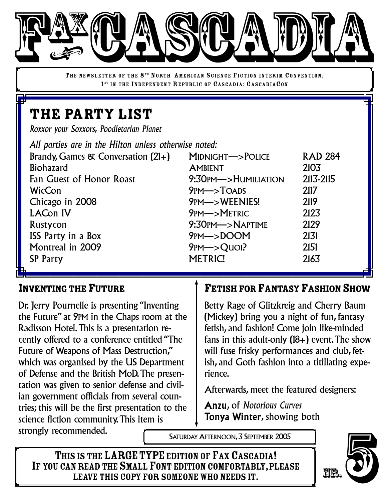

THE NEWSLETTER OF THE 8<sup>TH</sup> NORTH AMERICAN SCIENCE FICTION INTERIM CONVENTION, 1<sup>ST</sup> IN THE INDEPENDENT REPUBLIC OF CASCADIA: CASCADIACON

# THE PARTY LIST

*Roxxor your Soxxors, Poodletarian Planet*

| All parties are in the Hilton unless otherwise noted: |                                     |                |
|-------------------------------------------------------|-------------------------------------|----------------|
| Brandy, Games & Conversation (21+)                    | MIDNIGHT->POLICE                    | <b>RAD 284</b> |
| <b>Biohazard</b>                                      | <b>AMBIENT</b>                      | 2103           |
| Fan Guest of Honor Roast                              | $9:30$ PM $\rightarrow$ Humiliation | 2113-2115      |
| <b>WicCon</b>                                         | $9PM \rightarrow ToADS$             | 2117           |
| Chicago in 2008                                       | 9PM->WEENIES!                       | 2119           |
| <b>LACon IV</b>                                       | 9PM->METRIC                         | 2123           |
| Rustycon                                              | 9:30PM->NAPTIME                     | 2129           |
| <b>ISS Party in a Box</b>                             | $9PM->DOOM$                         | 2131           |
| Montreal in 2009                                      | $9PM->Quol?$                        | 2151           |
| <b>SP Party</b>                                       | <b>METRIC!</b>                      | 2163           |

#### INVENTING THE FUTURE

Dr. Jerry Pournelle is presenting "Inventing" the Future" at 9PM in the Chaps room at the Radisson Hotel.This is a presentation recently offered to a conference entitled "The Future of Weapons of Mass Destruction," which was organised by the US Department of Defense and the British MoD.The presentation was given to senior defense and civilian government officials from several countries; this will be the first presentation to the science fiction community.This item is strongly recommended.

## FETISH FOR FANTASY FASHION SHOW

Betty Rage of Glitzkreig and Cherry Baum (Mickey) bring you a night of fun, fantasy fetish, and fashion! Come join like-minded fans in this adult-only  $(18+)$  event. The show will fuse frisky performances and club, fetish, and Goth fashion into a titillating experience.

Afterwards, meet the featured designers:

Anzu, of *Notorious Curves* Tonya Winter, showing both

SATURDAY AFTERNOON, 3 SEPTEMBER 2005

THIS IS THE LARGE TYPE EDITION OF FAX CASCADIA! IF YOU CAN READ THE SMALL FONT EDITION COMFORTABLY, PLEASE<br>LEAVE THIS COPY FOR SOMEONE WHO NEEDS IT. IMENTION OF FAX CASCADIA!<br>
SIS THE LARGE TYPE EDITION OF FAX CASCADIA!<br>
NREAD THE SMALL FONT EDITION COMFORTABLY, PLEASE<br>
LEAVE THIS COPY FOR SOMEONE WHO NEEDS IT.

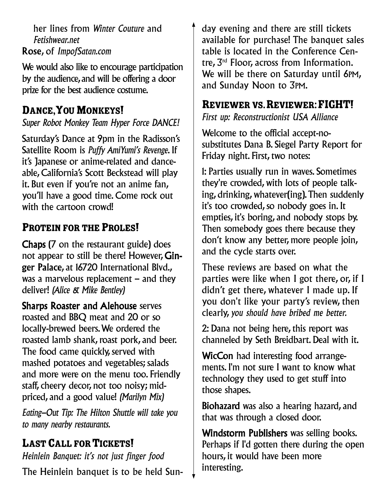her lines from *Winter Couture* and *Fetishwear.net* Rose, of *ImpofSatan.com*

We would also like to encourage participation by the audience, and will be offering a door prize for the best audience costume.

## DANCE, YOU MONKEYS!

*Super Robot Monkey Team Hyper Force DANCE!*

Saturday's Dance at 9pm in the Radisson's Satellite Room is *Puffy AmiYumi's Revenge*. If it's Japanese or anime-related and danceable, California's Scott Beckstead will play it. But even if you're not an anime fan, you'll have a good time. Come rock out with the cartoon crowd!

# PROTEIN FOR THE PROLES!

Chaps (7 on the restaurant guide) does not appear to still be there! However, Ginger Palace, at 16720 International Blvd., was a marvelous replacement – and they deliver! *(Alice & Mike Bentley)*

Sharps Roaster and Alehouse serves roasted and BBQ meat and 20 or so locally-brewed beers.We ordered the roasted lamb shank, roast pork, and beer. The food came quickly, served with mashed potatoes and vegetables; salads and more were on the menu too. Friendly staff, cheery decor, not too noisy; midpriced, and a good value! *(Marilyn Mix)*

*Eating-Out Tip: The Hilton Shuttle will take you to many nearby restaurants.*

# **LAST CALL FOR TICKETS!**

*Heinlein Banquet: it's not just finger food* The Heinlein banquet is to be held Sunday evening and there are still tickets available for purchase! The banquet sales table is located in the Conference Centre, 3 rd Floor, across from Information. We will be there on Saturday until 6PM, and Sunday Noon to 3PM.

## REVIEWER VS. REVIEWER: FIGHT!

*First up: Reconstructionist USA Alliance*

Welcome to the official accept-nosubstitutes Dana B. Siegel Party Report for Friday night. First, two notes:

1: Parties usually run in waves. Sometimes they're crowded, with lots of people talking, drinking, whatever(ing).Then suddenly it's too crowded, so nobody goes in. It empties, it's boring, and nobody stops by. Then somebody goes there because they don't know any better, more people join, and the cycle starts over.

These reviews are based on what the parties were like when I got there, or, if I didn't get there, whatever I made up. If you don't like your party's review, then clearly, *you should have bribed me better.*

2: Dana not being here, this report was channeled by Seth Breidbart. Deal with it.

WicCon had interesting food arrangements. I'm not sure I want to know what technology they used to get stuff into those shapes.

Biohazard was also a hearing hazard, and that was through a closed door.

Windstorm Publishers was selling books. Perhaps if I'd gotten there during the open hours, it would have been more interesting.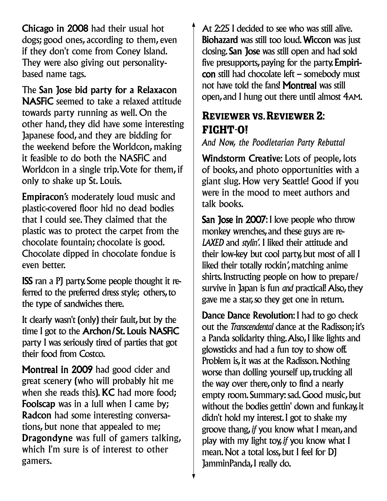Chicago in 2008 had their usual hot dogs; good ones, according to them, even if they don't come from Coney Island. They were also giving out personalitybased name tags.

The San Jose bid party for a Relaxacon NASFiC seemed to take a relaxed attitude towards party running as well. On the other hand, they did have some interesting Japanese food, and they are bidding for the weekend before the Worldcon, making it feasible to do both the NASFiC and Worldcon in a single trip.Vote for them, if only to shake up St. Louis.

Empiracon's moderately loud music and plastic-covered floor hid no dead bodies that I could see.They claimed that the plastic was to protect the carpet from the chocolate fountain; chocolate is good. Chocolate dipped in chocolate fondue is even better.

ISS ran a PJ party. Some people thought it referred to the preferred dress style; others,to the type of sandwiches there.

It clearly wasn't (only) their fault, but by the time I got to the Archon/St. Louis NASFiC party I was seriously tired of parties that got their food from Costco.

Montreal in 2009 had good cider and great scenery (who will probably hit me when she reads this). **KC** had more food; Foolscap was in a lull when I came by; Radcon had some interesting conversations, but none that appealed to me; Dragondyne was full of gamers talking, which I'm sure is of interest to other gamers.

At 2:25 I decided to see who was still alive. Biohazard was still too loud. Wiccon was just closing. San Jose was still open and had sold five presupports, paying for the party. Empiricon still had chocolate left – somebody must not have told the fans! Montreal was still open, and I hung out there until almost 4AM.

## REVIEWER VS. REVIEWER 2: FIGHT-O!

*And Now, the Poodletarian Party Rebuttal*

Windstorm Creative: Lots of people, lots of books, and photo opportunities with a giant slug. How very Seattle! Good if you were in the mood to meet authors and talk books.

San Jose in 2007: I love people who throw monkey wrenches, and these guys are re-*LAXED* and *stylin'.* I liked their attitude and their low-key but cool party, but most of all I liked their totally rockin*'*,matching anime shirts. Instructing people on how to prepare/ survive in Japan is fun *and* practical! Also, they gave me a star, so they get one in return.

Dance Dance Revolution: I had to go check out the *Transcendental* dance at the Radisson; it's a Panda solidarity thing.Also,I like lights and glowsticks and had a fun toy to show off. Problem is, it was at the Radisson. Nothing worse than dolling yourself up, trucking all the way over there,only to find a nearly empty room. Summary: sad. Good music, but without the bodies gettin' down and funkay, it didn't hold my interest.I got to shake my groove thang,*if* you know what I mean, and play with my light toy,*if* you know what I mean. Not a total loss, but I feel for DJ JamminPanda,I really do.